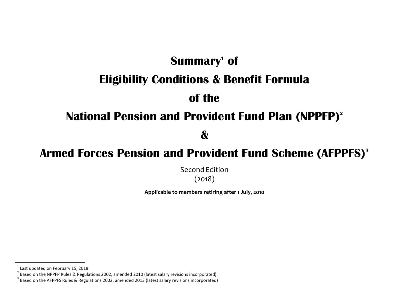# **Summary<sup>1</sup> of Eligibility Conditions & Benefit Formula of the**

# **National Pension and Provident Fund Plan (NPPFP) 2**

**&**

# **Armed Forces Pension and Provident Fund Scheme (AFPPFS) 3**

Second Edition (2018)

**Applicable to members retiring after 1 July, 2010**

 $\overline{a}$ 

 $<sup>1</sup>$  Last updated on February 15, 2018</sup>

<sup>&</sup>lt;sup>2</sup> Based on the NPPFP Rules & Regulations 2002, amended 2010 (latest salary revisions incorporated)

 $^3$  Based on the AFPPFS Rules & Regulations 2002, amended 2013 (latest salary revisions incorporated)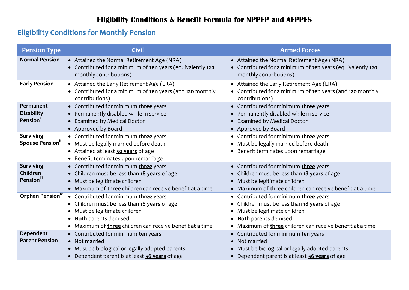### **Eligibility Conditions & Benefit Formula for NPPFP and AFPPFS**

### **Eligibility Conditions for Monthly Pension**

| <b>Pension Type</b>                                    | <b>Civil</b>                                                                                                                                                                                                          | <b>Armed Forces</b>                                                                                                                                                                                              |
|--------------------------------------------------------|-----------------------------------------------------------------------------------------------------------------------------------------------------------------------------------------------------------------------|------------------------------------------------------------------------------------------------------------------------------------------------------------------------------------------------------------------|
| <b>Normal Pension</b>                                  | • Attained the Normal Retirement Age (NRA)<br>• Contributed for a minimum of ten years (equivalently 120<br>monthly contributions)                                                                                    | • Attained the Normal Retirement Age (NRA)<br>• Contributed for a minimum of ten years (equivalently 120<br>monthly contributions)                                                                               |
| <b>Early Pension</b>                                   | • Attained the Early Retirement Age (ERA)<br>• Contributed for a minimum of ten years (and 120 monthly<br>contributions)                                                                                              | • Attained the Early Retirement Age (ERA)<br>• Contributed for a minimum of ten years (and 120 monthly<br>contributions)                                                                                         |
| Permanent<br><b>Disability</b><br>Pension <sup>1</sup> | • Contributed for minimum three years<br>• Permanently disabled while in service<br>• Examined by Medical Doctor<br>• Approved by Board                                                                               | • Contributed for minimum three years<br>• Permanently disabled while in service<br>• Examined by Medical Doctor<br>• Approved by Board                                                                          |
| <b>Surviving</b><br><b>Spouse Pension</b> "            | • Contributed for minimum three years<br>• Must be legally married before death<br>• Attained at least <b>50 years</b> of age<br>Benefit terminates upon remarriage                                                   | • Contributed for minimum three years<br>• Must be legally married before death<br>• Benefit terminates upon remarriage                                                                                          |
| <b>Surviving</b><br>Children<br><b>Pension</b> iii     | • Contributed for minimum three years<br>• Children must be less than 18 years of age<br>· Must be legitimate children<br>• Maximum of three children can receive benefit at a time                                   | • Contributed for minimum three years<br>• Children must be less than 18 years of age<br>• Must be legitimate children<br>• Maximum of <b>three</b> children can receive benefit at a time                       |
| Orphan Pension <sup>1V</sup>                           | • Contributed for minimum three years<br>• Children must be less than 18 years of age<br>Must be legitimate children<br><b>Both</b> parents demised<br>Maximum of <b>three</b> children can receive benefit at a time | • Contributed for minimum three years<br>• Children must be less than 18 years of age<br>Must be legitimate children<br><b>Both</b> parents demised<br>• Maximum of three children can receive benefit at a time |
| Dependent<br><b>Parent Pension</b>                     | • Contributed for minimum ten years<br>• Not married<br>Must be biological or legally adopted parents<br>• Dependent parent is at least 56 years of age                                                               | • Contributed for minimum ten years<br>• Not married<br>• Must be biological or legally adopted parents<br>• Dependent parent is at least 56 years of age                                                        |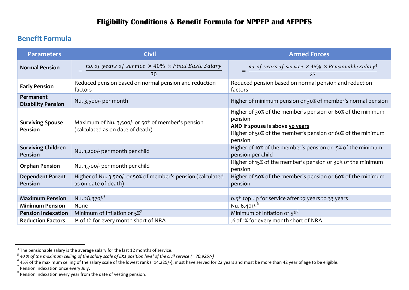#### **Benefit Formula**

| <b>Parameters</b>                      | <b>Civil</b>                                                                          | <b>Armed Forces</b>                                                                                                                                                                 |
|----------------------------------------|---------------------------------------------------------------------------------------|-------------------------------------------------------------------------------------------------------------------------------------------------------------------------------------|
| <b>Normal Pension</b>                  | no. of years of service $\times$ 40% $\times$ Final Basic Salary<br>30                | $=$ no. of years of service $\times$ 45% $\times$ Pensionable Salary <sup>4</sup>                                                                                                   |
| <b>Early Pension</b>                   | Reduced pension based on normal pension and reduction<br>factors                      | Reduced pension based on normal pension and reduction<br>factors                                                                                                                    |
| Permanent<br><b>Disability Pension</b> | Nu. 3,500/- per month                                                                 | Higher of minimum pension or 30% of member's normal pension                                                                                                                         |
| <b>Surviving Spouse</b><br>Pension     | Maximum of Nu. 3,500/- or 50% of member's pension<br>(calculated as on date of death) | Higher of 30% of the member's pension or 60% of the minimum<br>pension<br>AND if spouse is above 50 years<br>Higher of 50% of the member's pension or 60% of the minimum<br>pension |
| <b>Surviving Children</b><br>Pension   | Nu. 1,200/- per month per child                                                       | Higher of 10% of the member's pension or 15% of the minimum<br>pension per child                                                                                                    |
| <b>Orphan Pension</b>                  | Nu. 1,700/- per month per child                                                       | Higher of 15% of the member's pension or 30% of the minimum<br>pension                                                                                                              |
| <b>Dependent Parent</b><br>Pension     | Higher of Nu. 3,500/- or 50% of member's pension (calculated<br>as on date of death)  | Higher of 50% of the member's pension or 60% of the minimum<br>pension                                                                                                              |
| <b>Maximum Pension</b>                 | Nu. 28,370/-5                                                                         | 0.5% top up for service after 27 years to 33 years                                                                                                                                  |
| <b>Minimum Pension</b>                 | None                                                                                  | Nu. 6,401/- <sup>6</sup>                                                                                                                                                            |
| <b>Pension Indexation</b>              | Minimum of Inflation or $5\%$                                                         | Minimum of Inflation or 5% <sup>8</sup>                                                                                                                                             |
| <b>Reduction Factors</b>               | 1/2 of 1% for every month short of NRA                                                | 1/2 of 1% for every month short of NRA                                                                                                                                              |

<sup>&</sup>lt;sup>4</sup> The pensionable salary is the average salary for the last 12 months of service.<br><sup>5</sup> 40 % of the maximum ceiling of the salary scale of EX1 position level of the civil service (= 70,925/-)<br><sup>5</sup> 45% of the maximum ceiling

<sup>&</sup>lt;sup>7</sup> Pension indexation once every July.

 $8$  Pension indexation every year from the date of vesting pension.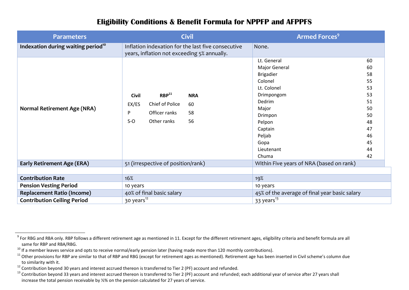#### **Eligibility Conditions & Benefit Formula for NPPFP and AFPPFS**

| <b>Parameters</b>                                                       | <b>Civil</b>                                                                                                                                | <b>Armed Forces<sup>9</sup></b>                                                                                                                                                                                                                                                |
|-------------------------------------------------------------------------|---------------------------------------------------------------------------------------------------------------------------------------------|--------------------------------------------------------------------------------------------------------------------------------------------------------------------------------------------------------------------------------------------------------------------------------|
| Indexation during waiting period <sup>10</sup>                          | Inflation indexation for the last five consecutive<br>years, inflation not exceeding 5% annually.                                           | None.                                                                                                                                                                                                                                                                          |
| <b>Normal Retirement Age (NRA)</b>                                      | RBP <sup>11</sup><br><b>Civil</b><br><b>NRA</b><br>Chief of Police<br>EX/ES<br>60<br>Officer ranks<br>P<br>58<br>$S-O$<br>Other ranks<br>56 | Lt. General<br>60<br>Major General<br>60<br>58<br><b>Brigadier</b><br>Colonel<br>55<br>Lt. Colonel<br>53<br>53<br>Drimpongom<br>Dedrim<br>51<br>Major<br>50<br>Drimpon<br>50<br>Pelpon<br>48<br>47<br>Captain<br>Peljab<br>46<br>Gopa<br>45<br>Lieutenant<br>44<br>Chuma<br>42 |
| <b>Early Retirement Age (ERA)</b>                                       | 51 (irrespective of position/rank)                                                                                                          | Within Five years of NRA (based on rank)                                                                                                                                                                                                                                       |
| <b>Contribution Rate</b><br><b>Pension Vesting Period</b>               | 16%<br>10 years                                                                                                                             | 19%<br>10 years                                                                                                                                                                                                                                                                |
| <b>Replacement Ratio (Income)</b><br><b>Contribution Ceiling Period</b> | 40% of final basic salary<br>30 years <sup>12</sup>                                                                                         | 45% of the average of final year basic salary<br>33 years <sup>13</sup>                                                                                                                                                                                                        |

1

 $^9$  For RBG and RBA only. RBP follows a different retirement age as mentioned in 11. Except for the different retirement ages, eligibility criteria and benefit formula are all same for RBP and RBA/RBG.

 $10$  If a member leaves service and opts to receive normal/early pension later (having made more than 120 monthly contributions).

 $11$  Other provisions for RBP are similar to that of RBP and RBG (except for retirement ages as mentioned). Retirement age has been inserted in Civil scheme's column due to similarity with it.

 $12$  Contribution beyond 30 years and interest accrued thereon is transferred to Tier 2 (PF) account and refunded.

 $13$  Contribution beyond 33 years and interest accrued thereon is transferred to Tier 2 (PF) account and refunded; each additional year of service after 27 years shall increase the total pension receivable by ½% on the pension calculated for 27 years of service.